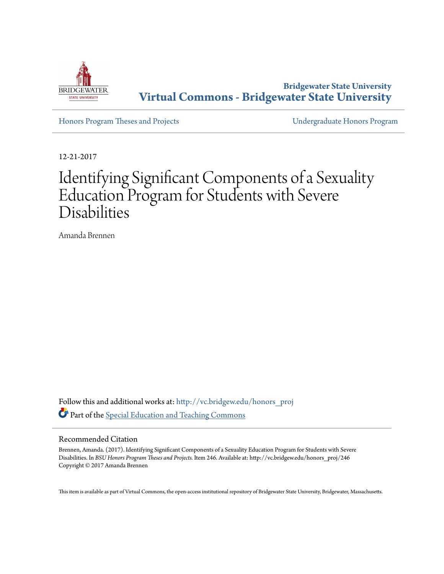

**Bridgewater State University [Virtual Commons - Bridgewater State University](http://vc.bridgew.edu?utm_source=vc.bridgew.edu%2Fhonors_proj%2F246&utm_medium=PDF&utm_campaign=PDFCoverPages)**

[Honors Program Theses and Projects](http://vc.bridgew.edu/honors_proj?utm_source=vc.bridgew.edu%2Fhonors_proj%2F246&utm_medium=PDF&utm_campaign=PDFCoverPages) [Undergraduate Honors Program](http://vc.bridgew.edu/honors?utm_source=vc.bridgew.edu%2Fhonors_proj%2F246&utm_medium=PDF&utm_campaign=PDFCoverPages)

12-21-2017

# Identifying Significant Components of a Sexuality Education Program for Students with Severe Disabilities

Amanda Brennen

Follow this and additional works at: [http://vc.bridgew.edu/honors\\_proj](http://vc.bridgew.edu/honors_proj?utm_source=vc.bridgew.edu%2Fhonors_proj%2F246&utm_medium=PDF&utm_campaign=PDFCoverPages) Part of the [Special Education and Teaching Commons](http://network.bepress.com/hgg/discipline/801?utm_source=vc.bridgew.edu%2Fhonors_proj%2F246&utm_medium=PDF&utm_campaign=PDFCoverPages)

#### Recommended Citation

Brennen, Amanda. (2017). Identifying Significant Components of a Sexuality Education Program for Students with Severe Disabilities. In *BSU Honors Program Theses and Projects.* Item 246. Available at: http://vc.bridgew.edu/honors\_proj/246 Copyright © 2017 Amanda Brennen

This item is available as part of Virtual Commons, the open-access institutional repository of Bridgewater State University, Bridgewater, Massachusetts.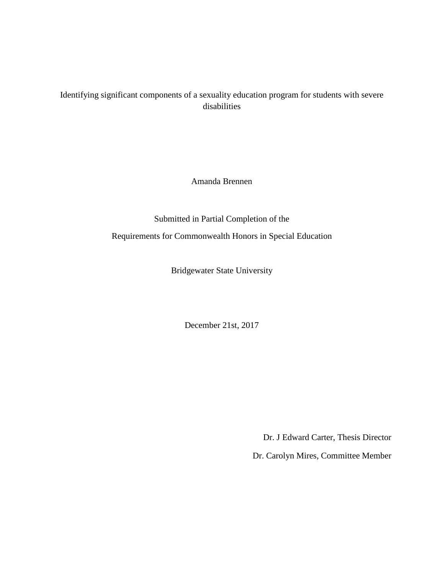### Identifying significant components of a sexuality education program for students with severe disabilities

Amanda Brennen

Submitted in Partial Completion of the Requirements for Commonwealth Honors in Special Education

Bridgewater State University

December 21st, 2017

Dr. J Edward Carter, Thesis Director

Dr. Carolyn Mires, Committee Member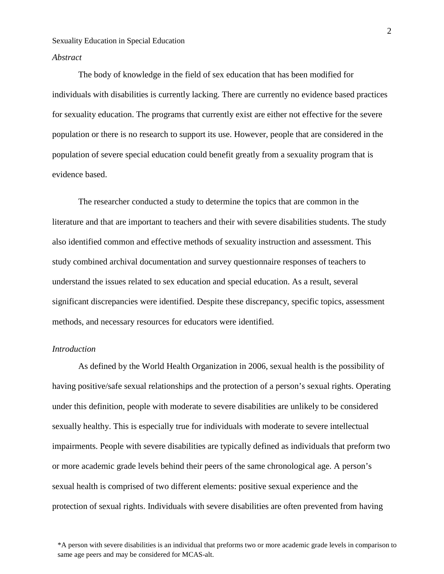#### *Abstract*

The body of knowledge in the field of sex education that has been modified for individuals with disabilities is currently lacking. There are currently no evidence based practices for sexuality education. The programs that currently exist are either not effective for the severe population or there is no research to support its use. However, people that are considered in the population of severe special education could benefit greatly from a sexuality program that is evidence based.

The researcher conducted a study to determine the topics that are common in the literature and that are important to teachers and their with severe disabilities students. The study also identified common and effective methods of sexuality instruction and assessment. This study combined archival documentation and survey questionnaire responses of teachers to understand the issues related to sex education and special education. As a result, several significant discrepancies were identified. Despite these discrepancy, specific topics, assessment methods, and necessary resources for educators were identified.

#### *Introduction*

As defined by the World Health Organization in 2006, sexual health is the possibility of having positive/safe sexual relationships and the protection of a person's sexual rights. Operating under this definition, people with moderate to severe disabilities are unlikely to be considered sexually healthy. This is especially true for individuals with moderate to severe intellectual impairments. People with severe disabilities are typically defined as individuals that preform two or more academic grade levels behind their peers of the same chronological age. A person's sexual health is comprised of two different elements: positive sexual experience and the protection of sexual rights. Individuals with severe disabilities are often prevented from having

\*A person with severe disabilities is an individual that preforms two or more academic grade levels in comparison to same age peers and may be considered for MCAS-alt.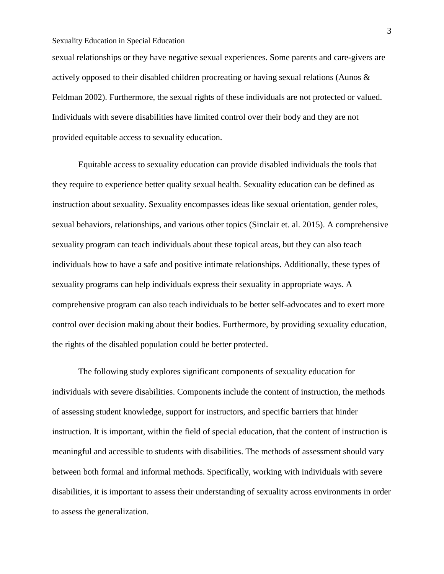sexual relationships or they have negative sexual experiences. Some parents and care-givers are actively opposed to their disabled children procreating or having sexual relations (Aunos & Feldman 2002). Furthermore, the sexual rights of these individuals are not protected or valued. Individuals with severe disabilities have limited control over their body and they are not provided equitable access to sexuality education.

Equitable access to sexuality education can provide disabled individuals the tools that they require to experience better quality sexual health. Sexuality education can be defined as instruction about sexuality. Sexuality encompasses ideas like sexual orientation, gender roles, sexual behaviors, relationships, and various other topics (Sinclair et. al. 2015). A comprehensive sexuality program can teach individuals about these topical areas, but they can also teach individuals how to have a safe and positive intimate relationships. Additionally, these types of sexuality programs can help individuals express their sexuality in appropriate ways. A comprehensive program can also teach individuals to be better self-advocates and to exert more control over decision making about their bodies. Furthermore, by providing sexuality education, the rights of the disabled population could be better protected.

The following study explores significant components of sexuality education for individuals with severe disabilities. Components include the content of instruction, the methods of assessing student knowledge, support for instructors, and specific barriers that hinder instruction. It is important, within the field of special education, that the content of instruction is meaningful and accessible to students with disabilities. The methods of assessment should vary between both formal and informal methods. Specifically, working with individuals with severe disabilities, it is important to assess their understanding of sexuality across environments in order to assess the generalization.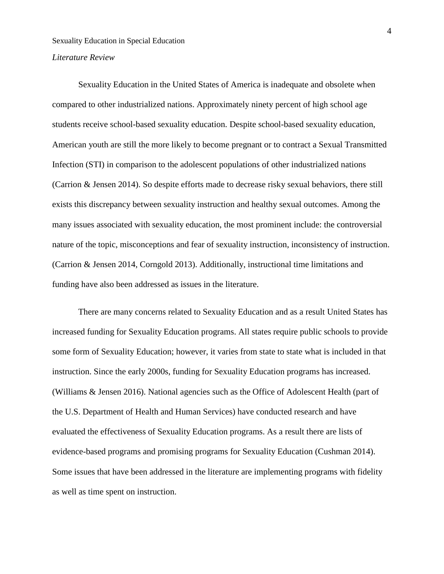#### *Literature Review*

Sexuality Education in the United States of America is inadequate and obsolete when compared to other industrialized nations. Approximately ninety percent of high school age students receive school-based sexuality education. Despite school-based sexuality education, American youth are still the more likely to become pregnant or to contract a Sexual Transmitted Infection (STI) in comparison to the adolescent populations of other industrialized nations (Carrion & Jensen 2014). So despite efforts made to decrease risky sexual behaviors, there still exists this discrepancy between sexuality instruction and healthy sexual outcomes. Among the many issues associated with sexuality education, the most prominent include: the controversial nature of the topic, misconceptions and fear of sexuality instruction, inconsistency of instruction. (Carrion & Jensen 2014, Corngold 2013). Additionally, instructional time limitations and funding have also been addressed as issues in the literature.

There are many concerns related to Sexuality Education and as a result United States has increased funding for Sexuality Education programs. All states require public schools to provide some form of Sexuality Education; however, it varies from state to state what is included in that instruction. Since the early 2000s, funding for Sexuality Education programs has increased. (Williams & Jensen 2016). National agencies such as the Office of Adolescent Health (part of the U.S. Department of Health and Human Services) have conducted research and have evaluated the effectiveness of Sexuality Education programs. As a result there are lists of evidence-based programs and promising programs for Sexuality Education (Cushman 2014). Some issues that have been addressed in the literature are implementing programs with fidelity as well as time spent on instruction.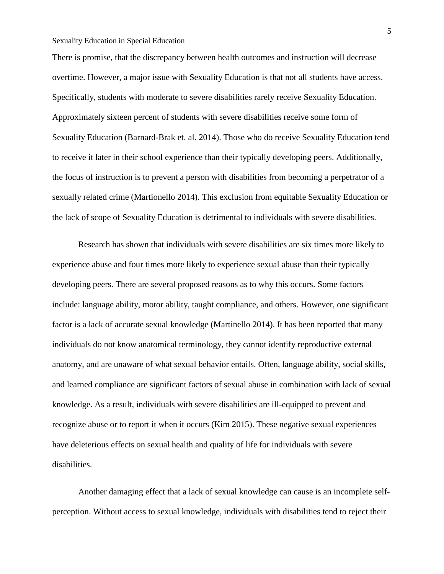There is promise, that the discrepancy between health outcomes and instruction will decrease overtime. However, a major issue with Sexuality Education is that not all students have access. Specifically, students with moderate to severe disabilities rarely receive Sexuality Education. Approximately sixteen percent of students with severe disabilities receive some form of Sexuality Education (Barnard-Brak et. al. 2014). Those who do receive Sexuality Education tend to receive it later in their school experience than their typically developing peers. Additionally, the focus of instruction is to prevent a person with disabilities from becoming a perpetrator of a sexually related crime (Martionello 2014). This exclusion from equitable Sexuality Education or the lack of scope of Sexuality Education is detrimental to individuals with severe disabilities.

Research has shown that individuals with severe disabilities are six times more likely to experience abuse and four times more likely to experience sexual abuse than their typically developing peers. There are several proposed reasons as to why this occurs. Some factors include: language ability, motor ability, taught compliance, and others. However, one significant factor is a lack of accurate sexual knowledge (Martinello 2014). It has been reported that many individuals do not know anatomical terminology, they cannot identify reproductive external anatomy, and are unaware of what sexual behavior entails. Often, language ability, social skills, and learned compliance are significant factors of sexual abuse in combination with lack of sexual knowledge. As a result, individuals with severe disabilities are ill-equipped to prevent and recognize abuse or to report it when it occurs (Kim 2015). These negative sexual experiences have deleterious effects on sexual health and quality of life for individuals with severe disabilities.

Another damaging effect that a lack of sexual knowledge can cause is an incomplete selfperception. Without access to sexual knowledge, individuals with disabilities tend to reject their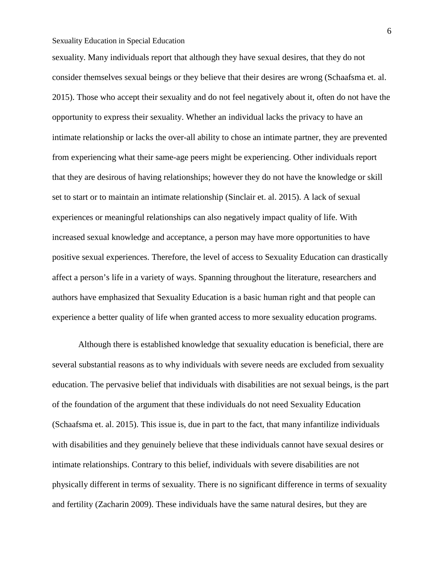sexuality. Many individuals report that although they have sexual desires, that they do not consider themselves sexual beings or they believe that their desires are wrong (Schaafsma et. al. 2015). Those who accept their sexuality and do not feel negatively about it, often do not have the opportunity to express their sexuality. Whether an individual lacks the privacy to have an intimate relationship or lacks the over-all ability to chose an intimate partner, they are prevented from experiencing what their same-age peers might be experiencing. Other individuals report that they are desirous of having relationships; however they do not have the knowledge or skill set to start or to maintain an intimate relationship (Sinclair et. al. 2015). A lack of sexual experiences or meaningful relationships can also negatively impact quality of life. With increased sexual knowledge and acceptance, a person may have more opportunities to have positive sexual experiences. Therefore, the level of access to Sexuality Education can drastically affect a person's life in a variety of ways. Spanning throughout the literature, researchers and authors have emphasized that Sexuality Education is a basic human right and that people can experience a better quality of life when granted access to more sexuality education programs.

Although there is established knowledge that sexuality education is beneficial, there are several substantial reasons as to why individuals with severe needs are excluded from sexuality education. The pervasive belief that individuals with disabilities are not sexual beings, is the part of the foundation of the argument that these individuals do not need Sexuality Education (Schaafsma et. al. 2015). This issue is, due in part to the fact, that many infantilize individuals with disabilities and they genuinely believe that these individuals cannot have sexual desires or intimate relationships. Contrary to this belief, individuals with severe disabilities are not physically different in terms of sexuality. There is no significant difference in terms of sexuality and fertility (Zacharin 2009). These individuals have the same natural desires, but they are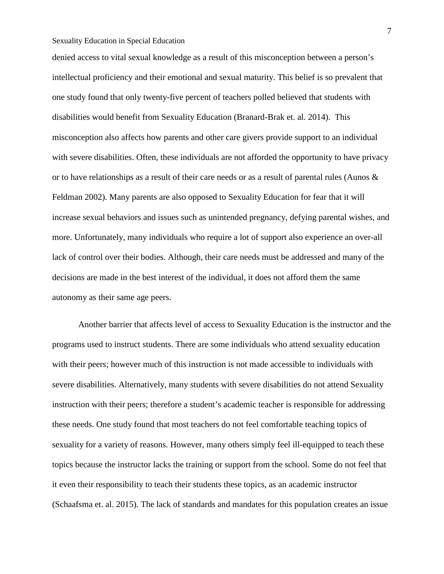denied access to vital sexual knowledge as a result of this misconception between a person's intellectual proficiency and their emotional and sexual maturity. This belief is so prevalent that one study found that only twenty-five percent of teachers polled believed that students with disabilities would benefit from Sexuality Education (Branard-Brak et. al. 2014). This misconception also affects how parents and other care givers provide support to an individual with severe disabilities. Often, these individuals are not afforded the opportunity to have privacy or to have relationships as a result of their care needs or as a result of parental rules (Aunos & Feldman 2002). Many parents are also opposed to Sexuality Education for fear that it will increase sexual behaviors and issues such as unintended pregnancy, defying parental wishes, and more. Unfortunately, many individuals who require a lot of support also experience an over-all lack of control over their bodies. Although, their care needs must be addressed and many of the decisions are made in the best interest of the individual, it does not afford them the same autonomy as their same age peers.

Another barrier that affects level of access to Sexuality Education is the instructor and the programs used to instruct students. There are some individuals who attend sexuality education with their peers; however much of this instruction is not made accessible to individuals with severe disabilities. Alternatively, many students with severe disabilities do not attend Sexuality instruction with their peers; therefore a student's academic teacher is responsible for addressing these needs. One study found that most teachers do not feel comfortable teaching topics of sexuality for a variety of reasons. However, many others simply feel ill-equipped to teach these topics because the instructor lacks the training or support from the school. Some do not feel that it even their responsibility to teach their students these topics, as an academic instructor (Schaafsma et. al. 2015). The lack of standards and mandates for this population creates an issue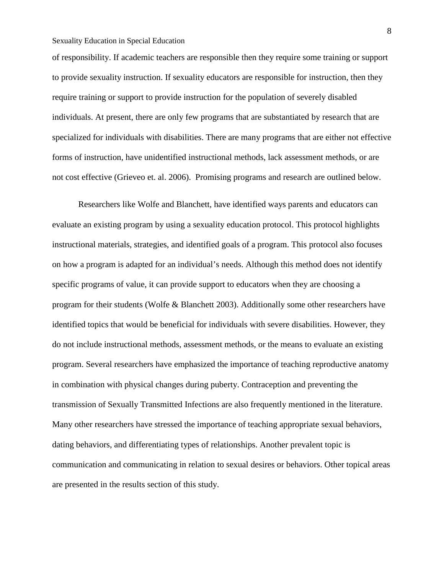of responsibility. If academic teachers are responsible then they require some training or support to provide sexuality instruction. If sexuality educators are responsible for instruction, then they require training or support to provide instruction for the population of severely disabled individuals. At present, there are only few programs that are substantiated by research that are specialized for individuals with disabilities. There are many programs that are either not effective forms of instruction, have unidentified instructional methods, lack assessment methods, or are not cost effective (Grieveo et. al. 2006). Promising programs and research are outlined below.

Researchers like Wolfe and Blanchett, have identified ways parents and educators can evaluate an existing program by using a sexuality education protocol. This protocol highlights instructional materials, strategies, and identified goals of a program. This protocol also focuses on how a program is adapted for an individual's needs. Although this method does not identify specific programs of value, it can provide support to educators when they are choosing a program for their students (Wolfe & Blanchett 2003). Additionally some other researchers have identified topics that would be beneficial for individuals with severe disabilities. However, they do not include instructional methods, assessment methods, or the means to evaluate an existing program. Several researchers have emphasized the importance of teaching reproductive anatomy in combination with physical changes during puberty. Contraception and preventing the transmission of Sexually Transmitted Infections are also frequently mentioned in the literature. Many other researchers have stressed the importance of teaching appropriate sexual behaviors, dating behaviors, and differentiating types of relationships. Another prevalent topic is communication and communicating in relation to sexual desires or behaviors. Other topical areas are presented in the results section of this study.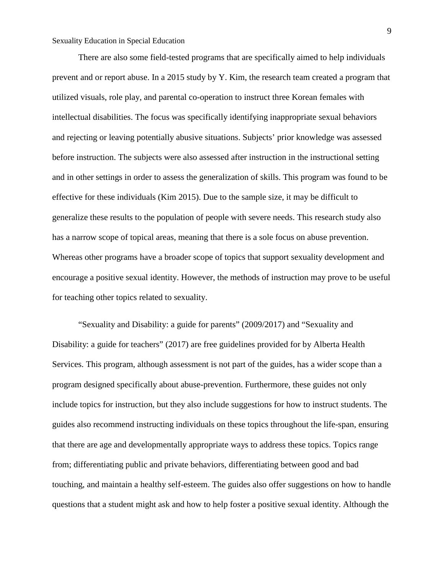There are also some field-tested programs that are specifically aimed to help individuals prevent and or report abuse. In a 2015 study by Y. Kim, the research team created a program that utilized visuals, role play, and parental co-operation to instruct three Korean females with intellectual disabilities. The focus was specifically identifying inappropriate sexual behaviors and rejecting or leaving potentially abusive situations. Subjects' prior knowledge was assessed before instruction. The subjects were also assessed after instruction in the instructional setting and in other settings in order to assess the generalization of skills. This program was found to be effective for these individuals (Kim 2015). Due to the sample size, it may be difficult to generalize these results to the population of people with severe needs. This research study also has a narrow scope of topical areas, meaning that there is a sole focus on abuse prevention. Whereas other programs have a broader scope of topics that support sexuality development and encourage a positive sexual identity. However, the methods of instruction may prove to be useful for teaching other topics related to sexuality.

"Sexuality and Disability: a guide for parents" (2009/2017) and "Sexuality and Disability: a guide for teachers" (2017) are free guidelines provided for by Alberta Health Services. This program, although assessment is not part of the guides, has a wider scope than a program designed specifically about abuse-prevention. Furthermore, these guides not only include topics for instruction, but they also include suggestions for how to instruct students. The guides also recommend instructing individuals on these topics throughout the life-span, ensuring that there are age and developmentally appropriate ways to address these topics. Topics range from; differentiating public and private behaviors, differentiating between good and bad touching, and maintain a healthy self-esteem. The guides also offer suggestions on how to handle questions that a student might ask and how to help foster a positive sexual identity. Although the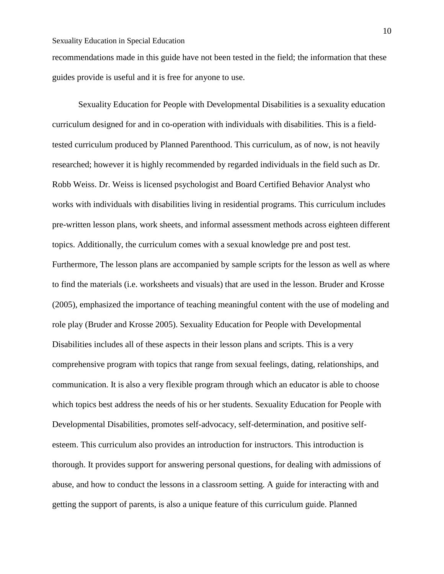recommendations made in this guide have not been tested in the field; the information that these guides provide is useful and it is free for anyone to use.

Sexuality Education for People with Developmental Disabilities is a sexuality education curriculum designed for and in co-operation with individuals with disabilities. This is a fieldtested curriculum produced by Planned Parenthood. This curriculum, as of now, is not heavily researched; however it is highly recommended by regarded individuals in the field such as Dr. Robb Weiss. Dr. Weiss is licensed psychologist and Board Certified Behavior Analyst who works with individuals with disabilities living in residential programs. This curriculum includes pre-written lesson plans, work sheets, and informal assessment methods across eighteen different topics. Additionally, the curriculum comes with a sexual knowledge pre and post test. Furthermore, The lesson plans are accompanied by sample scripts for the lesson as well as where to find the materials (i.e. worksheets and visuals) that are used in the lesson. Bruder and Krosse (2005), emphasized the importance of teaching meaningful content with the use of modeling and role play (Bruder and Krosse 2005). Sexuality Education for People with Developmental Disabilities includes all of these aspects in their lesson plans and scripts. This is a very comprehensive program with topics that range from sexual feelings, dating, relationships, and communication. It is also a very flexible program through which an educator is able to choose which topics best address the needs of his or her students. Sexuality Education for People with Developmental Disabilities, promotes self-advocacy, self-determination, and positive selfesteem. This curriculum also provides an introduction for instructors. This introduction is thorough. It provides support for answering personal questions, for dealing with admissions of abuse, and how to conduct the lessons in a classroom setting. A guide for interacting with and getting the support of parents, is also a unique feature of this curriculum guide. Planned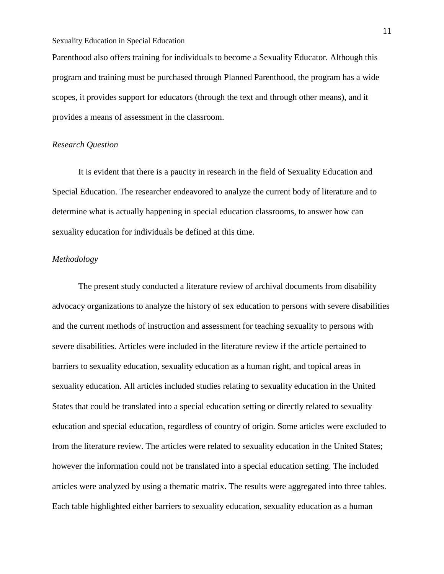Parenthood also offers training for individuals to become a Sexuality Educator. Although this program and training must be purchased through Planned Parenthood, the program has a wide scopes, it provides support for educators (through the text and through other means), and it provides a means of assessment in the classroom.

#### *Research Question*

It is evident that there is a paucity in research in the field of Sexuality Education and Special Education. The researcher endeavored to analyze the current body of literature and to determine what is actually happening in special education classrooms, to answer how can sexuality education for individuals be defined at this time.

#### *Methodology*

The present study conducted a literature review of archival documents from disability advocacy organizations to analyze the history of sex education to persons with severe disabilities and the current methods of instruction and assessment for teaching sexuality to persons with severe disabilities. Articles were included in the literature review if the article pertained to barriers to sexuality education, sexuality education as a human right, and topical areas in sexuality education. All articles included studies relating to sexuality education in the United States that could be translated into a special education setting or directly related to sexuality education and special education, regardless of country of origin. Some articles were excluded to from the literature review. The articles were related to sexuality education in the United States; however the information could not be translated into a special education setting. The included articles were analyzed by using a thematic matrix. The results were aggregated into three tables. Each table highlighted either barriers to sexuality education, sexuality education as a human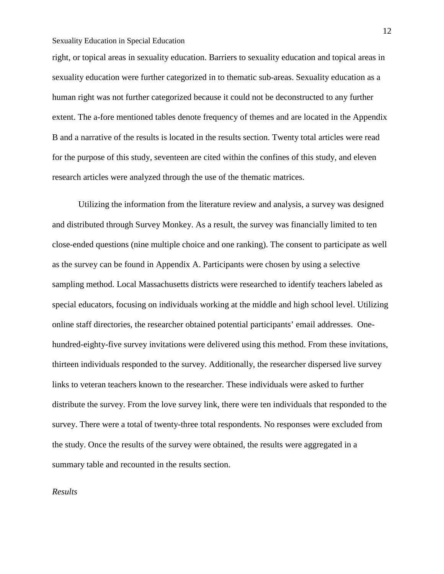right, or topical areas in sexuality education. Barriers to sexuality education and topical areas in sexuality education were further categorized in to thematic sub-areas. Sexuality education as a human right was not further categorized because it could not be deconstructed to any further extent. The a-fore mentioned tables denote frequency of themes and are located in the Appendix B and a narrative of the results is located in the results section. Twenty total articles were read for the purpose of this study, seventeen are cited within the confines of this study, and eleven research articles were analyzed through the use of the thematic matrices.

Utilizing the information from the literature review and analysis, a survey was designed and distributed through Survey Monkey. As a result, the survey was financially limited to ten close-ended questions (nine multiple choice and one ranking). The consent to participate as well as the survey can be found in Appendix A. Participants were chosen by using a selective sampling method. Local Massachusetts districts were researched to identify teachers labeled as special educators, focusing on individuals working at the middle and high school level. Utilizing online staff directories, the researcher obtained potential participants' email addresses. Onehundred-eighty-five survey invitations were delivered using this method. From these invitations, thirteen individuals responded to the survey. Additionally, the researcher dispersed live survey links to veteran teachers known to the researcher. These individuals were asked to further distribute the survey. From the love survey link, there were ten individuals that responded to the survey. There were a total of twenty-three total respondents. No responses were excluded from the study. Once the results of the survey were obtained, the results were aggregated in a summary table and recounted in the results section.

*Results*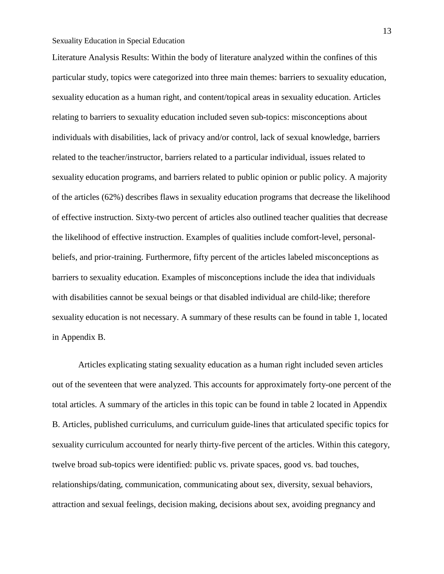Literature Analysis Results: Within the body of literature analyzed within the confines of this particular study, topics were categorized into three main themes: barriers to sexuality education, sexuality education as a human right, and content/topical areas in sexuality education. Articles relating to barriers to sexuality education included seven sub-topics: misconceptions about individuals with disabilities, lack of privacy and/or control, lack of sexual knowledge, barriers related to the teacher/instructor, barriers related to a particular individual, issues related to sexuality education programs, and barriers related to public opinion or public policy. A majority of the articles (62%) describes flaws in sexuality education programs that decrease the likelihood of effective instruction. Sixty-two percent of articles also outlined teacher qualities that decrease the likelihood of effective instruction. Examples of qualities include comfort-level, personalbeliefs, and prior-training. Furthermore, fifty percent of the articles labeled misconceptions as barriers to sexuality education. Examples of misconceptions include the idea that individuals with disabilities cannot be sexual beings or that disabled individual are child-like; therefore sexuality education is not necessary. A summary of these results can be found in table 1, located in Appendix B.

Articles explicating stating sexuality education as a human right included seven articles out of the seventeen that were analyzed. This accounts for approximately forty-one percent of the total articles. A summary of the articles in this topic can be found in table 2 located in Appendix B. Articles, published curriculums, and curriculum guide-lines that articulated specific topics for sexuality curriculum accounted for nearly thirty-five percent of the articles. Within this category, twelve broad sub-topics were identified: public vs. private spaces, good vs. bad touches, relationships/dating, communication, communicating about sex, diversity, sexual behaviors, attraction and sexual feelings, decision making, decisions about sex, avoiding pregnancy and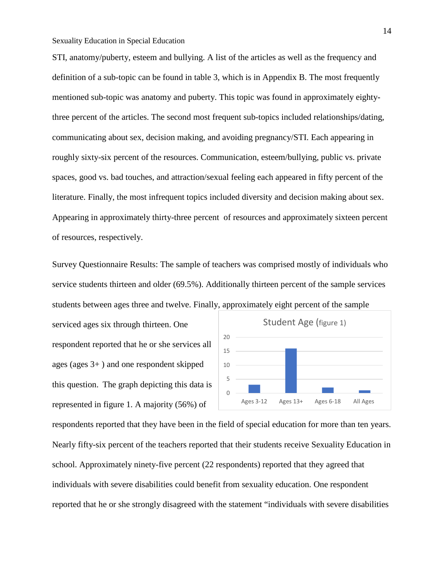STI, anatomy/puberty, esteem and bullying. A list of the articles as well as the frequency and definition of a sub-topic can be found in table 3, which is in Appendix B. The most frequently mentioned sub-topic was anatomy and puberty. This topic was found in approximately eightythree percent of the articles. The second most frequent sub-topics included relationships/dating, communicating about sex, decision making, and avoiding pregnancy/STI. Each appearing in roughly sixty-six percent of the resources. Communication, esteem/bullying, public vs. private spaces, good vs. bad touches, and attraction/sexual feeling each appeared in fifty percent of the literature. Finally, the most infrequent topics included diversity and decision making about sex. Appearing in approximately thirty-three percent of resources and approximately sixteen percent of resources, respectively.

Survey Questionnaire Results: The sample of teachers was comprised mostly of individuals who service students thirteen and older (69.5%). Additionally thirteen percent of the sample services students between ages three and twelve. Finally, approximately eight percent of the sample

serviced ages six through thirteen. One respondent reported that he or she services all ages (ages 3+ ) and one respondent skipped this question. The graph depicting this data is represented in figure 1. A majority (56%) of



respondents reported that they have been in the field of special education for more than ten years. Nearly fifty-six percent of the teachers reported that their students receive Sexuality Education in school. Approximately ninety-five percent (22 respondents) reported that they agreed that individuals with severe disabilities could benefit from sexuality education. One respondent reported that he or she strongly disagreed with the statement "individuals with severe disabilities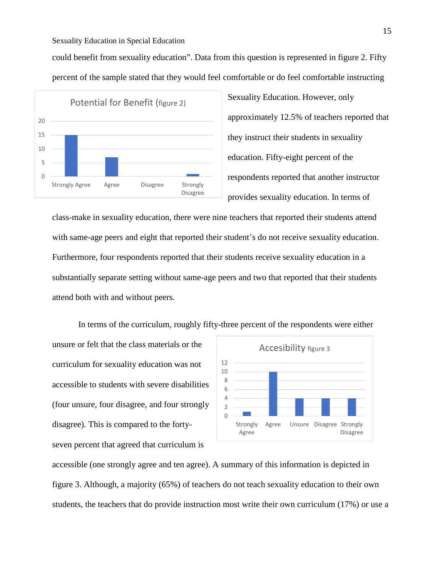could benefit from sexuality education". Data from this question is represented in figure 2. Fifty percent of the sample stated that they would feel comfortable or do feel comfortable instructing



Sexuality Education. However, only approximately 12.5% of teachers reported that they instruct their students in sexuality education. Fifty-eight percent of the respondents reported that another instructor provides sexuality education. In terms of

class-make in sexuality education, there were nine teachers that reported their students attend with same-age peers and eight that reported their student's do not receive sexuality education. Furthermore, four respondents reported that their students receive sexuality education in a substantially separate setting without same-age peers and two that reported that their students attend both with and without peers.

In terms of the curriculum, roughly fifty-three percent of the respondents were either unsure or felt that the class materials or the curriculum for sexuality education was not accessible to students with severe disabilities (four unsure, four disagree, and four strongly disagree). This is compared to the fortyseven percent that agreed that curriculum is



accessible (one strongly agree and ten agree). A summary of this information is depicted in figure 3. Although, a majority (65%) of teachers do not teach sexuality education to their own students, the teachers that do provide instruction most write their own curriculum (17%) or use a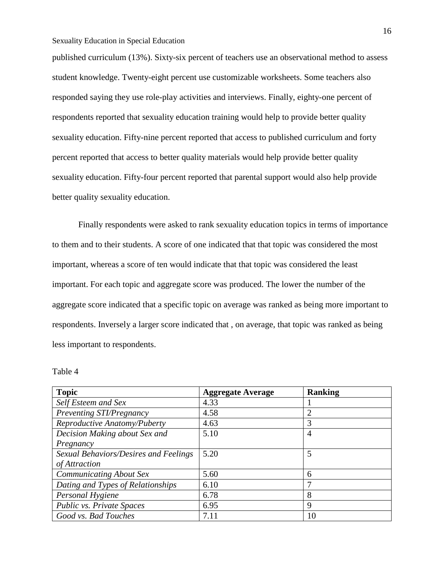published curriculum (13%). Sixty-six percent of teachers use an observational method to assess student knowledge. Twenty-eight percent use customizable worksheets. Some teachers also responded saying they use role-play activities and interviews. Finally, eighty-one percent of respondents reported that sexuality education training would help to provide better quality sexuality education. Fifty-nine percent reported that access to published curriculum and forty percent reported that access to better quality materials would help provide better quality sexuality education. Fifty-four percent reported that parental support would also help provide better quality sexuality education.

Finally respondents were asked to rank sexuality education topics in terms of importance to them and to their students. A score of one indicated that that topic was considered the most important, whereas a score of ten would indicate that that topic was considered the least important. For each topic and aggregate score was produced. The lower the number of the aggregate score indicated that a specific topic on average was ranked as being more important to respondents. Inversely a larger score indicated that , on average, that topic was ranked as being less important to respondents.

| Table 4 |  |
|---------|--|
|---------|--|

| <b>Topic</b>                          | <b>Aggregate Average</b> | <b>Ranking</b> |
|---------------------------------------|--------------------------|----------------|
| Self Esteem and Sex                   | 4.33                     |                |
| Preventing STI/Pregnancy              | 4.58                     | $\overline{2}$ |
| Reproductive Anatomy/Puberty          | 4.63                     | 3              |
| Decision Making about Sex and         | 5.10                     | 4              |
| Pregnancy                             |                          |                |
| Sexual Behaviors/Desires and Feelings | 5.20                     | 5              |
| of Attraction                         |                          |                |
| <b>Communicating About Sex</b>        | 5.60                     | 6              |
| Dating and Types of Relationships     | 6.10                     | 7              |
| Personal Hygiene                      | 6.78                     | 8              |
| Public vs. Private Spaces             | 6.95                     | 9              |
| Good vs. Bad Touches                  | 7.11                     | 10             |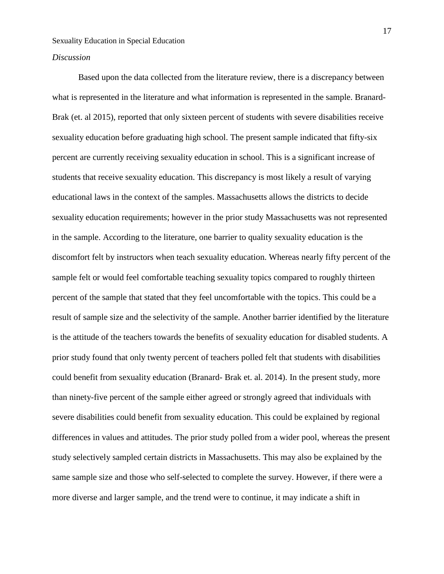#### *Discussion*

Based upon the data collected from the literature review, there is a discrepancy between what is represented in the literature and what information is represented in the sample. Branard-Brak (et. al 2015), reported that only sixteen percent of students with severe disabilities receive sexuality education before graduating high school. The present sample indicated that fifty-six percent are currently receiving sexuality education in school. This is a significant increase of students that receive sexuality education. This discrepancy is most likely a result of varying educational laws in the context of the samples. Massachusetts allows the districts to decide sexuality education requirements; however in the prior study Massachusetts was not represented in the sample. According to the literature, one barrier to quality sexuality education is the discomfort felt by instructors when teach sexuality education. Whereas nearly fifty percent of the sample felt or would feel comfortable teaching sexuality topics compared to roughly thirteen percent of the sample that stated that they feel uncomfortable with the topics. This could be a result of sample size and the selectivity of the sample. Another barrier identified by the literature is the attitude of the teachers towards the benefits of sexuality education for disabled students. A prior study found that only twenty percent of teachers polled felt that students with disabilities could benefit from sexuality education (Branard- Brak et. al. 2014). In the present study, more than ninety-five percent of the sample either agreed or strongly agreed that individuals with severe disabilities could benefit from sexuality education. This could be explained by regional differences in values and attitudes. The prior study polled from a wider pool, whereas the present study selectively sampled certain districts in Massachusetts. This may also be explained by the same sample size and those who self-selected to complete the survey. However, if there were a more diverse and larger sample, and the trend were to continue, it may indicate a shift in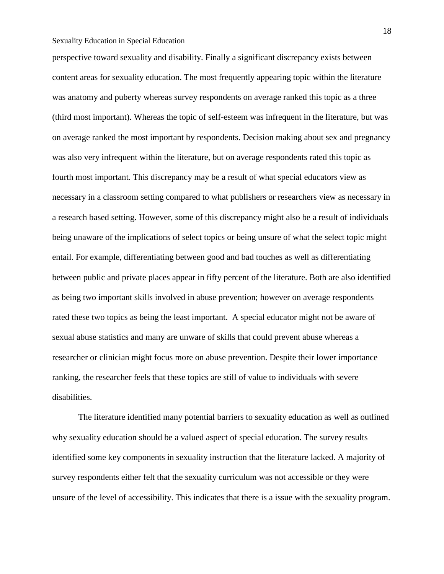perspective toward sexuality and disability. Finally a significant discrepancy exists between content areas for sexuality education. The most frequently appearing topic within the literature was anatomy and puberty whereas survey respondents on average ranked this topic as a three (third most important). Whereas the topic of self-esteem was infrequent in the literature, but was on average ranked the most important by respondents. Decision making about sex and pregnancy was also very infrequent within the literature, but on average respondents rated this topic as fourth most important. This discrepancy may be a result of what special educators view as necessary in a classroom setting compared to what publishers or researchers view as necessary in a research based setting. However, some of this discrepancy might also be a result of individuals being unaware of the implications of select topics or being unsure of what the select topic might entail. For example, differentiating between good and bad touches as well as differentiating between public and private places appear in fifty percent of the literature. Both are also identified as being two important skills involved in abuse prevention; however on average respondents rated these two topics as being the least important. A special educator might not be aware of sexual abuse statistics and many are unware of skills that could prevent abuse whereas a researcher or clinician might focus more on abuse prevention. Despite their lower importance ranking, the researcher feels that these topics are still of value to individuals with severe disabilities.

The literature identified many potential barriers to sexuality education as well as outlined why sexuality education should be a valued aspect of special education. The survey results identified some key components in sexuality instruction that the literature lacked. A majority of survey respondents either felt that the sexuality curriculum was not accessible or they were unsure of the level of accessibility. This indicates that there is a issue with the sexuality program.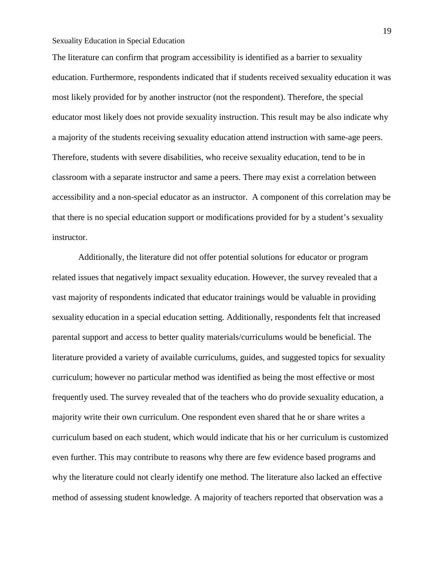The literature can confirm that program accessibility is identified as a barrier to sexuality education. Furthermore, respondents indicated that if students received sexuality education it was most likely provided for by another instructor (not the respondent). Therefore, the special educator most likely does not provide sexuality instruction. This result may be also indicate why a majority of the students receiving sexuality education attend instruction with same-age peers. Therefore, students with severe disabilities, who receive sexuality education, tend to be in classroom with a separate instructor and same a peers. There may exist a correlation between accessibility and a non-special educator as an instructor. A component of this correlation may be that there is no special education support or modifications provided for by a student's sexuality instructor.

Additionally, the literature did not offer potential solutions for educator or program related issues that negatively impact sexuality education. However, the survey revealed that a vast majority of respondents indicated that educator trainings would be valuable in providing sexuality education in a special education setting. Additionally, respondents felt that increased parental support and access to better quality materials/curriculums would be beneficial. The literature provided a variety of available curriculums, guides, and suggested topics for sexuality curriculum; however no particular method was identified as being the most effective or most frequently used. The survey revealed that of the teachers who do provide sexuality education, a majority write their own curriculum. One respondent even shared that he or share writes a curriculum based on each student, which would indicate that his or her curriculum is customized even further. This may contribute to reasons why there are few evidence based programs and why the literature could not clearly identify one method. The literature also lacked an effective method of assessing student knowledge. A majority of teachers reported that observation was a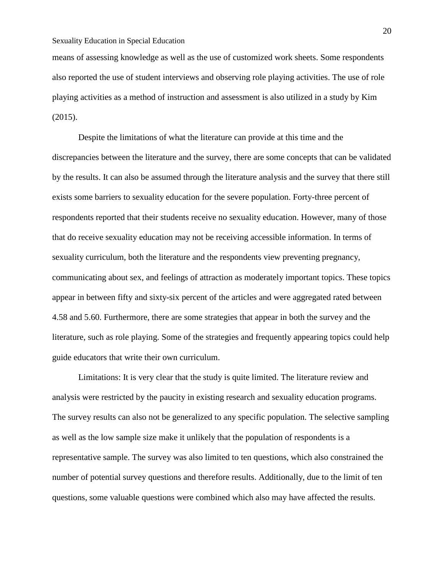means of assessing knowledge as well as the use of customized work sheets. Some respondents also reported the use of student interviews and observing role playing activities. The use of role playing activities as a method of instruction and assessment is also utilized in a study by Kim (2015).

Despite the limitations of what the literature can provide at this time and the discrepancies between the literature and the survey, there are some concepts that can be validated by the results. It can also be assumed through the literature analysis and the survey that there still exists some barriers to sexuality education for the severe population. Forty-three percent of respondents reported that their students receive no sexuality education. However, many of those that do receive sexuality education may not be receiving accessible information. In terms of sexuality curriculum, both the literature and the respondents view preventing pregnancy, communicating about sex, and feelings of attraction as moderately important topics. These topics appear in between fifty and sixty-six percent of the articles and were aggregated rated between 4.58 and 5.60. Furthermore, there are some strategies that appear in both the survey and the literature, such as role playing. Some of the strategies and frequently appearing topics could help guide educators that write their own curriculum.

Limitations: It is very clear that the study is quite limited. The literature review and analysis were restricted by the paucity in existing research and sexuality education programs. The survey results can also not be generalized to any specific population. The selective sampling as well as the low sample size make it unlikely that the population of respondents is a representative sample. The survey was also limited to ten questions, which also constrained the number of potential survey questions and therefore results. Additionally, due to the limit of ten questions, some valuable questions were combined which also may have affected the results.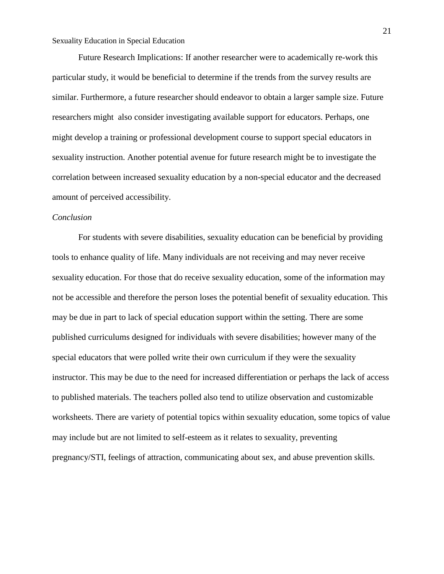Future Research Implications: If another researcher were to academically re-work this particular study, it would be beneficial to determine if the trends from the survey results are similar. Furthermore, a future researcher should endeavor to obtain a larger sample size. Future researchers might also consider investigating available support for educators. Perhaps, one might develop a training or professional development course to support special educators in sexuality instruction. Another potential avenue for future research might be to investigate the correlation between increased sexuality education by a non-special educator and the decreased amount of perceived accessibility.

#### *Conclusion*

For students with severe disabilities, sexuality education can be beneficial by providing tools to enhance quality of life. Many individuals are not receiving and may never receive sexuality education. For those that do receive sexuality education, some of the information may not be accessible and therefore the person loses the potential benefit of sexuality education. This may be due in part to lack of special education support within the setting. There are some published curriculums designed for individuals with severe disabilities; however many of the special educators that were polled write their own curriculum if they were the sexuality instructor. This may be due to the need for increased differentiation or perhaps the lack of access to published materials. The teachers polled also tend to utilize observation and customizable worksheets. There are variety of potential topics within sexuality education, some topics of value may include but are not limited to self-esteem as it relates to sexuality, preventing pregnancy/STI, feelings of attraction, communicating about sex, and abuse prevention skills.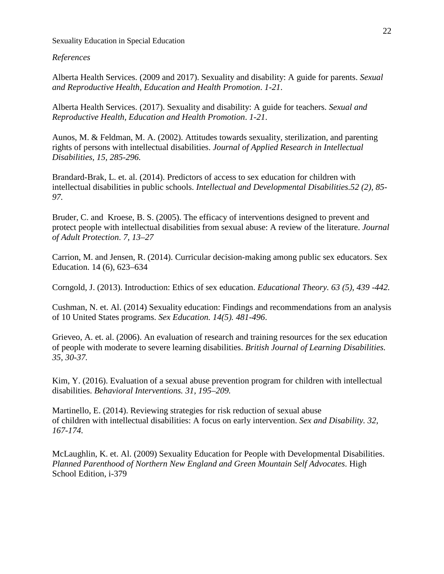#### *References*

Alberta Health Services. (2009 and 2017). Sexuality and disability: A guide for parents. *Sexual and Reproductive Health, Education and Health Promotion*. *1-21*.

Alberta Health Services. (2017). Sexuality and disability: A guide for teachers. *Sexual and Reproductive Health, Education and Health Promotion*. *1-21*.

Aunos, M. & Feldman, M. A. (2002). Attitudes towards sexuality, sterilization, and parenting rights of persons with intellectual disabilities. *Journal of Applied Research in Intellectual Disabilities, 15, 285-296.*

Brandard-Brak, L. et. al. (2014). Predictors of access to sex education for children with intellectual disabilities in public schools. *Intellectual and Developmental Disabilities.52 (2), 85- 97.*

Bruder, C. and Kroese, B. S. (2005). The efficacy of interventions designed to prevent and protect people with intellectual disabilities from sexual abuse: A review of the literature. *Journal of Adult Protection*. *7, 13–27*

Carrion, M. and Jensen, R. (2014). Curricular decision-making among public sex educators. Sex Education. 14 (6), 623–634

Corngold, J. (2013). Introduction: Ethics of sex education. *Educational Theory. 63 (5), 439 -442.* 

Cushman, N. et. Al. (2014) Sexuality education: Findings and recommendations from an analysis of 10 United States programs. *Sex Education. 14(5). 481-496*.

Grieveo, A. et. al. (2006). An evaluation of research and training resources for the sex education of people with moderate to severe learning disabilities. *British Journal of Learning Disabilities. 35, 30-37.* 

Kim, Y. (2016). Evaluation of a sexual abuse prevention program for children with intellectual disabilities. *Behavioral Interventions. 31, 195–209.*

Martinello, E. (2014). Reviewing strategies for risk reduction of sexual abuse of children with intellectual disabilities: A focus on early intervention. *Sex and Disability. 32, 167-174.* 

McLaughlin, K. et. Al. (2009) Sexuality Education for People with Developmental Disabilities. *Planned Parenthood of Northern New England and Green Mountain Self Advocates*. High School Edition, i-379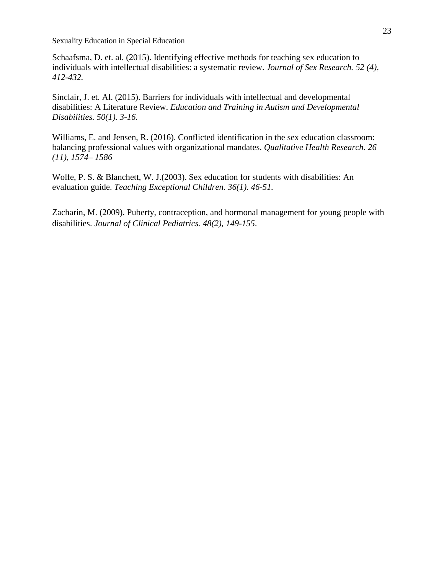Schaafsma, D. et. al. (2015). Identifying effective methods for teaching sex education to individuals with intellectual disabilities: a systematic review. *Journal of Sex Research. 52 (4), 412-432.* 

Sinclair, J. et. Al. (2015). Barriers for individuals with intellectual and developmental disabilities: A Literature Review. *Education and Training in Autism and Developmental Disabilities. 50(1). 3-16.* 

Williams, E. and Jensen, R. (2016). Conflicted identification in the sex education classroom: balancing professional values with organizational mandates. *Qualitative Health Research. 26 (11), 1574– 1586*

Wolfe, P. S. & Blanchett, W. J.(2003). Sex education for students with disabilities: An evaluation guide. *Teaching Exceptional Children. 36(1). 46-51.*

Zacharin, M. (2009). Puberty, contraception, and hormonal management for young people with disabilities. *Journal of Clinical Pediatrics. 48(2), 149-155*.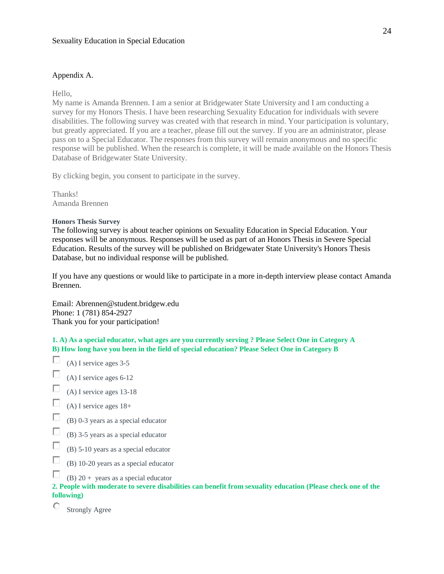#### Appendix A.

Hello,

My name is Amanda Brennen. I am a senior at Bridgewater State University and I am conducting a survey for my Honors Thesis. I have been researching Sexuality Education for individuals with severe disabilities. The following survey was created with that research in mind. Your participation is voluntary, but greatly appreciated. If you are a teacher, please fill out the survey. If you are an administrator, please pass on to a Special Educator. The responses from this survey will remain anonymous and no specific response will be published. When the research is complete, it will be made available on the Honors Thesis Database of Bridgewater State University.

By clicking begin, you consent to participate in the survey.

Thanks! Amanda Brennen

#### **Honors Thesis Survey**

The following survey is about teacher opinions on Sexuality Education in Special Education. Your responses will be anonymous. Responses will be used as part of an Honors Thesis in Severe Special Education. Results of the survey will be published on Bridgewater State University's Honors Thesis Database, but no individual response will be published.

If you have any questions or would like to participate in a more in-depth interview please contact Amanda Brennen.

Email: Abrennen@student.bridgew.edu Phone: 1 (781) 854-2927 Thank you for your participation!

1. A) As a special educator, what ages are you currently serving ? Please Select One in Category A B) How long have you been in the field of special education? Please Select One in Category B

- П (A) I service ages 3-5
- П. (A) I service ages 6-12
- П (A) I service ages 13-18
- П. (A) I service ages 18+
- П (B) 0-3 years as a special educator
- П (B) 3-5 years as a special educator
- П (B) 5-10 years as a special educator
- П (B) 10-20 years as a special educator
- П (B)  $20 +$  years as a special educator

2. People with moderate to severe disabilities can benefit from sexuality education (Please check one of the  $following)$ 

О Strongly Agree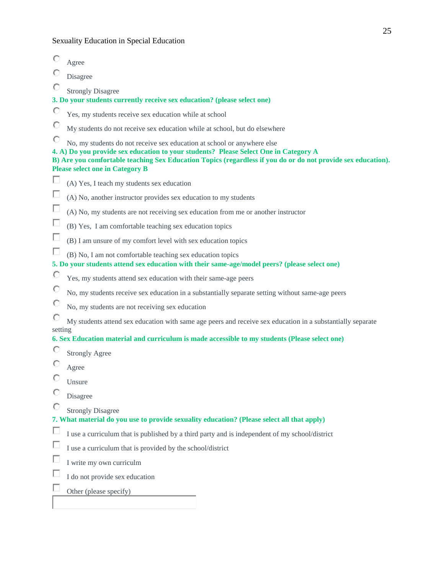|         | Agree                                                                                                                                                                                                                                                                                                                     |
|---------|---------------------------------------------------------------------------------------------------------------------------------------------------------------------------------------------------------------------------------------------------------------------------------------------------------------------------|
|         | Disagree                                                                                                                                                                                                                                                                                                                  |
| О       | <b>Strongly Disagree</b>                                                                                                                                                                                                                                                                                                  |
|         | 3. Do your students currently receive sex education? (please select one)                                                                                                                                                                                                                                                  |
| O       | Yes, my students receive sex education while at school                                                                                                                                                                                                                                                                    |
| O       | My students do not receive sex education while at school, but do elsewhere                                                                                                                                                                                                                                                |
|         | No, my students do not receive sex education at school or anywhere else<br>4. A) Do you provide sex education to your students? Please Select One in Category A<br>B) Are you comfortable teaching Sex Education Topics (regardless if you do or do not provide sex education).<br><b>Please select one in Category B</b> |
| п       | (A) Yes, I teach my students sex education                                                                                                                                                                                                                                                                                |
| п       | (A) No, another instructor provides sex education to my students                                                                                                                                                                                                                                                          |
| П       | (A) No, my students are not receiving sex education from me or another instructor                                                                                                                                                                                                                                         |
| П       | (B) Yes, I am comfortable teaching sex education topics                                                                                                                                                                                                                                                                   |
| п       | (B) I am unsure of my comfort level with sex education topics                                                                                                                                                                                                                                                             |
| □       | (B) No, I am not comfortable teaching sex education topics<br>5. Do your students attend sex education with their same-age/model peers? (please select one)                                                                                                                                                               |
| O       | Yes, my students attend sex education with their same-age peers                                                                                                                                                                                                                                                           |
| O       | No, my students receive sex education in a substantially separate setting without same-age peers                                                                                                                                                                                                                          |
| O       | No, my students are not receiving sex education                                                                                                                                                                                                                                                                           |
| О       | My students attend sex education with same age peers and receive sex education in a substantially separate                                                                                                                                                                                                                |
| setting |                                                                                                                                                                                                                                                                                                                           |
| O       | 6. Sex Education material and curriculum is made accessible to my students (Please select one)                                                                                                                                                                                                                            |
|         | <b>Strongly Agree</b>                                                                                                                                                                                                                                                                                                     |
|         | Agree                                                                                                                                                                                                                                                                                                                     |
| ¢       | Unsure                                                                                                                                                                                                                                                                                                                    |
| O       | Disagree                                                                                                                                                                                                                                                                                                                  |
| O       | <b>Strongly Disagree</b>                                                                                                                                                                                                                                                                                                  |
|         | 7. What material do you use to provide sexuality education? (Please select all that apply)                                                                                                                                                                                                                                |
| Е       | I use a curriculum that is published by a third party and is independent of my school/district                                                                                                                                                                                                                            |
| П       | I use a curriculum that is provided by the school/district                                                                                                                                                                                                                                                                |
| Е       | I write my own curriculm                                                                                                                                                                                                                                                                                                  |
| Е       | I do not provide sex education                                                                                                                                                                                                                                                                                            |
|         | Other (please specify)                                                                                                                                                                                                                                                                                                    |
|         |                                                                                                                                                                                                                                                                                                                           |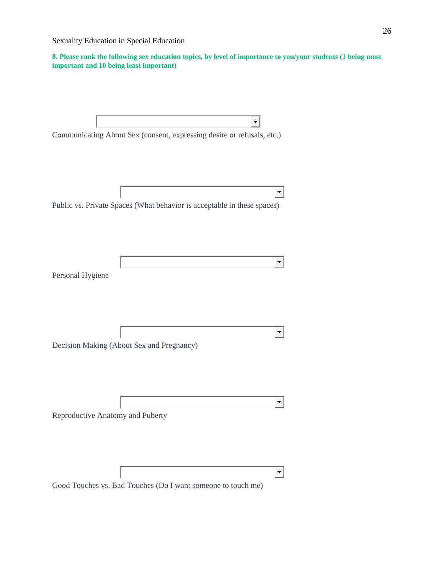8. Please rank the following sex education topics, by level of importance to you/your students (1 being most **important and 10 being least important) w**

| Communicating About Sex (consent, expressing desire or refusals, etc.)  |
|-------------------------------------------------------------------------|
|                                                                         |
|                                                                         |
|                                                                         |
| Public vs. Private Spaces (What behavior is acceptable in these spaces) |
|                                                                         |
|                                                                         |
|                                                                         |
|                                                                         |
| Personal Hygiene                                                        |
|                                                                         |
|                                                                         |
|                                                                         |
| Decision Making (About Sex and Pregnancy)                               |
|                                                                         |
|                                                                         |
|                                                                         |
|                                                                         |
| Reproductive Anatomy and Puberty                                        |
|                                                                         |
|                                                                         |
|                                                                         |
|                                                                         |

Good Touches vs. Bad Touches (Do I want someone to touch me)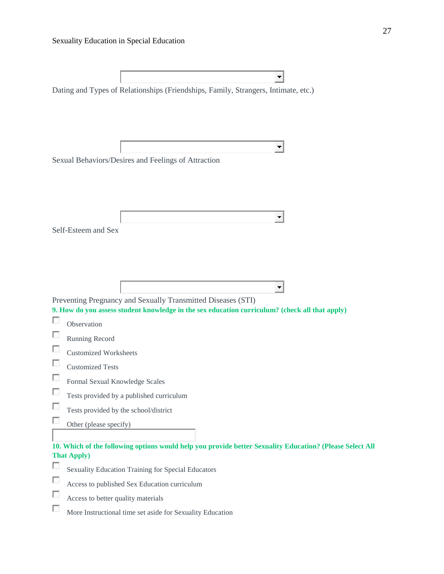|                  | Dating and Types of Relationships (Friendships, Family, Strangers, Intimate, etc.)                                                                                                                    |
|------------------|-------------------------------------------------------------------------------------------------------------------------------------------------------------------------------------------------------|
|                  | $\overline{\phantom{a}}$<br>Sexual Behaviors/Desires and Feelings of Attraction                                                                                                                       |
|                  | $\blacksquare$<br>Self-Esteem and Sex                                                                                                                                                                 |
| o                | Preventing Pregnancy and Sexually Transmitted Diseases (STI)<br>9. How do you assess student knowledge in the sex education curriculum? (check all that apply)<br>Observation                         |
| с                | Running Record<br><b>Customized Worksheets</b>                                                                                                                                                        |
| u<br>C<br>П      | <b>Customized Tests</b><br>Formal Sexual Knowledge Scales<br>Tests provided by a published curriculum<br>Tests provided by the school/district                                                        |
| п                | Other (please specify)<br>10. Which of the following options would help you provide better Sexuality Education? (Please Select All<br><b>That Apply</b> )                                             |
| п<br>C<br>п<br>o | Sexuality Education Training for Special Educators<br>Access to published Sex Education curriculum<br>Access to better quality materials<br>More Instructional time set aside for Sexuality Education |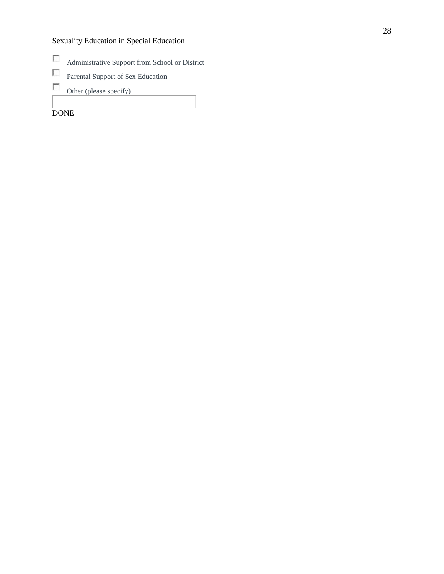- $\overline{\mathcal{L}}$ Administrative Support from School or District
- $\overline{\mathcal{L}}$ Parental Support of Sex Education
- $\sim$ Other (please specify)

DONE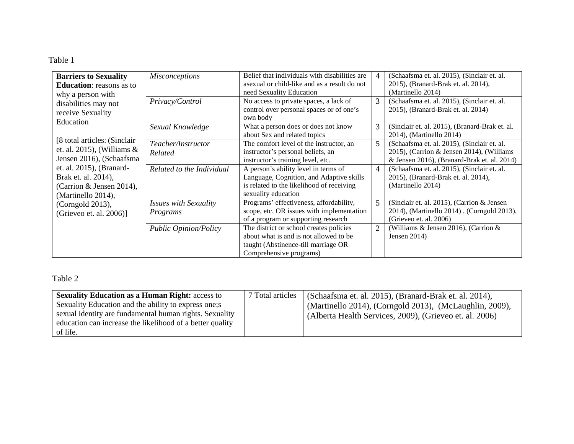## Table 1

| <b>Barriers to Sexuality</b><br><b>Education:</b> reasons as to<br>why a person with              | <b>Misconceptions</b>                           | Belief that individuals with disabilities are<br>as a result do not as a result do not<br>need Sexuality Education                                   | $\overline{4}$ | (Schaafsma et. al. 2015), (Sinclair et. al.<br>2015), (Branard-Brak et. al. 2014),<br>(Martinello 2014)                                 |
|---------------------------------------------------------------------------------------------------|-------------------------------------------------|------------------------------------------------------------------------------------------------------------------------------------------------------|----------------|-----------------------------------------------------------------------------------------------------------------------------------------|
| disabilities may not<br>receive Sexuality<br>Education                                            | Privacy/Control                                 | No access to private spaces, a lack of<br>control over personal spaces or of one's<br>own body                                                       | 3              | (Schaafsma et. al. 2015), (Sinclair et. al.<br>2015), (Branard-Brak et. al. 2014)                                                       |
|                                                                                                   | Sexual Knowledge                                | What a person does or does not know<br>about Sex and related topics                                                                                  | 3              | (Sinclair et. al. 2015), (Branard-Brak et. al.<br>2014), (Martinello 2014)                                                              |
| [8 total articles: (Sinclair)<br>et. al. 2015), (Williams $\&$<br>Jensen 2016), (Schaafsma        | Teacher/Instructor<br>Related                   | The comfort level of the instructor, an<br>instructor's personal beliefs, an<br>instructor's training level, etc.                                    | 5              | (Schaafsma et. al. 2015), (Sinclair et. al.<br>2015), (Carrion & Jensen 2014), (Williams<br>& Jensen 2016), (Branard-Brak et. al. 2014) |
| et. al. 2015), (Branard-<br>Brak et. al. 2014),<br>(Carrion & Jensen 2014),<br>(Martinello 2014), | Related to the Individual                       | A person's ability level in terms of<br>Language, Cognition, and Adaptive skills<br>is related to the likelihood of receiving<br>sexuality education | $\overline{4}$ | (Schaafsma et. al. 2015), (Sinclair et. al.<br>2015), (Branard-Brak et. al. 2014),<br>(Martinello 2014)                                 |
| (Corngold 2013),<br>(Grieveo et. al. 2006)]                                                       | <i><b>Issues with Sexuality</b></i><br>Programs | Programs' effectiveness, affordability,<br>scope, etc. OR issues with implementation<br>of a program or supporting research                          | 5              | (Sinclair et. al. 2015), (Carrion & Jensen)<br>2014), (Martinello 2014), (Corngold 2013),<br>(Grieveo et. al. 2006)                     |
|                                                                                                   | <b>Public Opinion/Policy</b>                    | The district or school creates policies<br>about what is and is not allowed to be<br>taught (Abstinence-till marriage OR<br>Comprehensive programs)  | $\overline{2}$ | (Williams & Jensen 2016), (Carrion &<br>Jensen $2014$ )                                                                                 |

# Table 2

| <b>Sexuality Education as a Human Right: access to</b><br>Sexuality Education and the ability to express one; s<br>sexual identity are fundamental human rights. Sexuality<br>education can increase the likelihood of a better quality<br>of life. | 7 Total articles | (Schaafsma et. al. 2015), (Branard-Brak et. al. 2014),<br>(Martinello 2014), (Corngold 2013), (McLaughlin, 2009),<br>(Alberta Health Services, 2009), (Grieveo et. al. 2006) |
|-----------------------------------------------------------------------------------------------------------------------------------------------------------------------------------------------------------------------------------------------------|------------------|------------------------------------------------------------------------------------------------------------------------------------------------------------------------------|
|-----------------------------------------------------------------------------------------------------------------------------------------------------------------------------------------------------------------------------------------------------|------------------|------------------------------------------------------------------------------------------------------------------------------------------------------------------------------|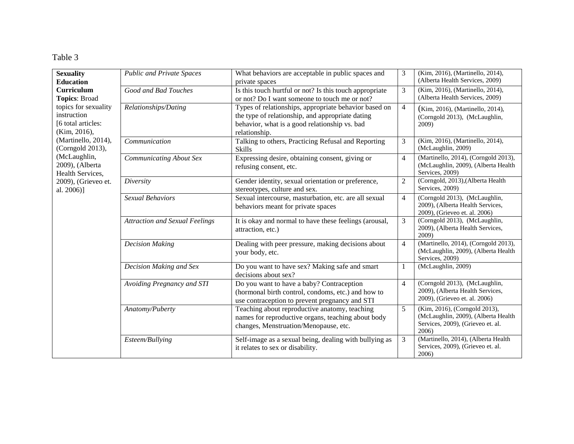# Table 3

| <b>Sexuality</b>                                                          | <b>Public and Private Spaces</b>      | What behaviors are acceptable in public spaces and                                                                                                                          | 3              | (Kim, 2016), (Martinello, 2014),<br>(Alberta Health Services, 2009)                                                |
|---------------------------------------------------------------------------|---------------------------------------|-----------------------------------------------------------------------------------------------------------------------------------------------------------------------------|----------------|--------------------------------------------------------------------------------------------------------------------|
| <b>Education</b>                                                          |                                       | private spaces                                                                                                                                                              |                |                                                                                                                    |
| Curriculum                                                                | Good and Bad Touches                  | Is this touch hurtful or not? Is this touch appropriate                                                                                                                     | 3              | (Kim, 2016), (Martinello, 2014),                                                                                   |
| <b>Topics: Broad</b>                                                      |                                       | or not? Do I want someone to touch me or not?                                                                                                                               |                | (Alberta Health Services, 2009)                                                                                    |
| topics for sexuality<br>instruction<br>[6 total articles:<br>(Kim, 2016), | Relationships/Dating                  | Types of relationships, appropriate behavior based on<br>the type of relationship, and appropriate dating<br>behavior, what is a good relationship vs. bad<br>relationship. | $\overline{4}$ | (Kim, 2016), (Martinello, 2014),<br>(Corngold 2013), (McLaughlin,<br>2009)                                         |
| (Martinello, 2014),<br>(Corngold 2013),                                   | Communication                         | Talking to others, Practicing Refusal and Reporting<br><b>Skills</b>                                                                                                        | 3              | (Kim, 2016), (Martinello, 2014),<br>(McLaughlin, 2009)                                                             |
| (McLaughlin,<br>2009), (Alberta<br>Health Services,                       | <b>Communicating About Sex</b>        | Expressing desire, obtaining consent, giving or<br>refusing consent, etc.                                                                                                   | $\overline{4}$ | (Martinello, 2014), (Corngold 2013),<br>(McLaughlin, 2009), (Alberta Health<br>Services, 2009)                     |
| 2009), (Grieveo et.<br>al. 2006)]                                         | Diversity                             | Gender identity, sexual orientation or preference,<br>stereotypes, culture and sex.                                                                                         | $\overline{2}$ | (Corngold, 2013), (Alberta Health<br>Services, 2009)                                                               |
|                                                                           | <b>Sexual Behaviors</b>               | Sexual intercourse, masturbation, etc. are all sexual<br>behaviors meant for private spaces                                                                                 | $\overline{4}$ | (Corngold 2013), (McLaughlin,<br>2009), (Alberta Health Services,<br>2009), (Grieveo et. al. 2006)                 |
|                                                                           | <b>Attraction and Sexual Feelings</b> | It is okay and normal to have these feelings (arousal,<br>attraction, etc.)                                                                                                 | 3              | (Corngold 2013), (McLaughlin,<br>2009), (Alberta Health Services,<br>2009)                                         |
|                                                                           | <b>Decision Making</b>                | Dealing with peer pressure, making decisions about<br>your body, etc.                                                                                                       | $\overline{4}$ | (Martinello, 2014), (Corngold 2013),<br>(McLaughlin, 2009), (Alberta Health<br>Services, 2009)                     |
|                                                                           | Decision Making and Sex               | Do you want to have sex? Making safe and smart<br>decisions about sex?                                                                                                      | 1              | (McLaughlin, 2009)                                                                                                 |
|                                                                           | Avoiding Pregnancy and STI            | Do you want to have a baby? Contraception<br>(hormonal birth control, condoms, etc.) and how to<br>use contraception to prevent pregnancy and STI                           | $\overline{4}$ | (Corngold 2013), (McLaughlin,<br>2009), (Alberta Health Services,<br>2009), (Grieveo et. al. 2006)                 |
|                                                                           | Anatomy/Puberty                       | Teaching about reproductive anatomy, teaching<br>names for reproductive organs, teaching about body<br>changes, Menstruation/Menopause, etc.                                | 5              | (Kim, 2016), (Corngold 2013),<br>(McLaughlin, 2009), (Alberta Health<br>Services, 2009), (Grieveo et. al.<br>2006) |
|                                                                           | Esteem/Bullying                       | Self-image as a sexual being, dealing with bullying as<br>it relates to sex or disability.                                                                                  | 3              | (Martinello, 2014), (Alberta Health<br>Services, 2009), (Grieveo et. al.<br>2006)                                  |